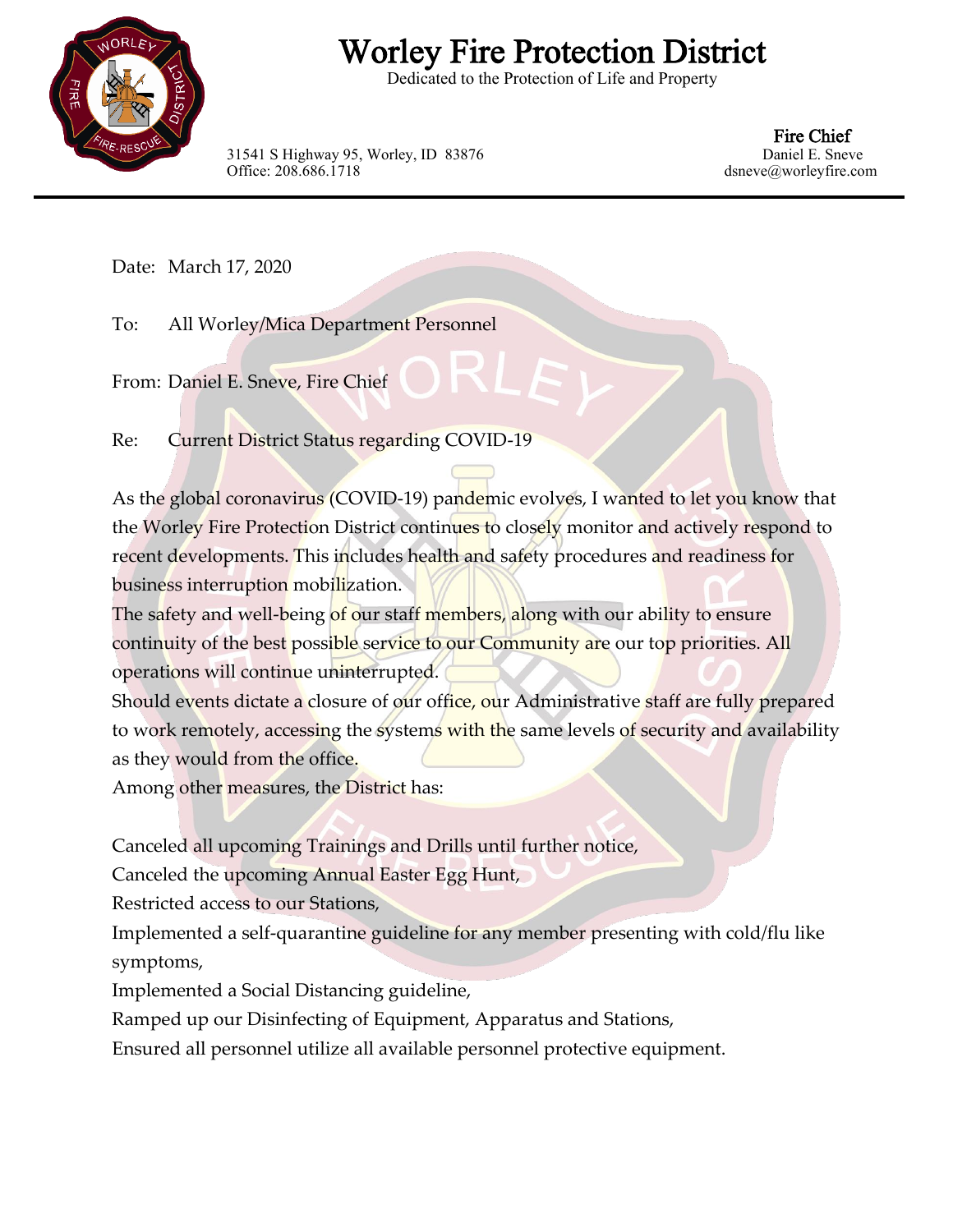

## Worley Fire Protection District

Dedicated to the Protection of Life and Property

31541 S Highway 95, Worley, ID 83876 Office: 208.686.1718 dsneve@worleyfire.com

Fire Chief<br>Daniel E. Sneve

Date: March 17, 2020

To: All Worley/Mica Department Personnel

From: Daniel E. Sneve, Fire Chief

Re: Current District Status regarding COVID-19

As the global coronavirus (COVID-19) pandemic evolves, I wanted to let you know that the Worley Fire Protection District continues to closely monitor and actively respond to recent developments. This includes health and safety procedures and readiness for business interruption mobilization.

The safety and well-being of our staff members, along with our ability to ensure continuity of the best possible service to our Community are our top priorities. All operations will continue uninterrupted.

Should events dictate a closure of our office, our Administrative staff are fully prepared to work remotely, accessing the systems with the same levels of security and availability as they would from the office.

Among other measures, the District has:

Canceled all upcoming Trainings and Drills until further notice,

Canceled the upcoming Annual Easter Egg Hunt,

Restricted access to our Stations,

Implemented a self-quarantine guideline for any member presenting with cold/flu like symptoms,

Implemented a Social Distancing guideline,

Ramped up our Disinfecting of Equipment, Apparatus and Stations,

Ensured all personnel utilize all available personnel protective equipment.